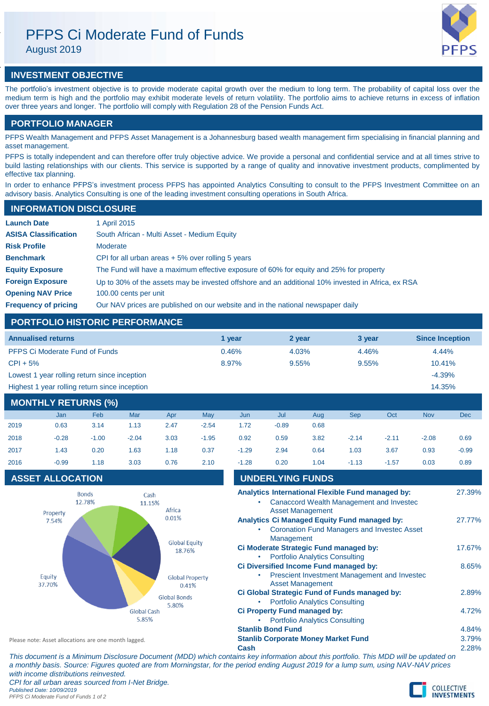# PFPS Ci Moderate Fund of Funds

August 2019



# **INVESTMENT OBJECTIVE**

The portfolio's investment objective is to provide moderate capital growth over the medium to long term. The probability of capital loss over the medium term is high and the portfolio may exhibit moderate levels of return volatility. The portfolio aims to achieve returns in excess of inflation over three years and longer. The portfolio will comply with Regulation 28 of the Pension Funds Act.

# **PORTFOLIO MANAGER**

PFPS Wealth Management and PFPS Asset Management is a Johannesburg based wealth management firm specialising in financial planning and asset management.

PFPS is totally independent and can therefore offer truly objective advice. We provide a personal and confidential service and at all times strive to build lasting relationships with our clients. This service is supported by a range of quality and innovative investment products, complimented by effective tax planning.

In order to enhance PFPS's investment process PFPS has appointed Analytics Consulting to consult to the PFPS Investment Committee on an advisory basis. Analytics Consulting is one of the leading investment consulting operations in South Africa.

| <b>INFORMATION DISCLOSURE</b> |                                                                                                   |  |  |  |  |
|-------------------------------|---------------------------------------------------------------------------------------------------|--|--|--|--|
| <b>Launch Date</b>            | 1 April 2015                                                                                      |  |  |  |  |
| <b>ASISA Classification</b>   | South African - Multi Asset - Medium Equity                                                       |  |  |  |  |
| <b>Risk Profile</b>           | Moderate                                                                                          |  |  |  |  |
| <b>Benchmark</b>              | CPI for all urban areas $+5\%$ over rolling 5 years                                               |  |  |  |  |
| <b>Equity Exposure</b>        | The Fund will have a maximum effective exposure of 60% for equity and 25% for property            |  |  |  |  |
| <b>Foreign Exposure</b>       | Up to 30% of the assets may be invested offshore and an additional 10% invested in Africa, ex RSA |  |  |  |  |
| <b>Opening NAV Price</b>      | 100.00 cents per unit                                                                             |  |  |  |  |
| <b>Frequency of pricing</b>   | Our NAV prices are published on our website and in the national newspaper daily                   |  |  |  |  |

## **PORTFOLIO HISTORIC PERFORMANCE**

| <b>Annualised returns</b>                     | 1 year | 2 year   | 3 year   | <b>Since Inception</b> |
|-----------------------------------------------|--------|----------|----------|------------------------|
| PFPS Ci Moderate Fund of Funds                | 0.46%  | 4.03%    | 4.46%    | 4.44%                  |
| $CPI + 5%$                                    | 8.97%  | $9.55\%$ | $9.55\%$ | $10.41\%$              |
| Lowest 1 year rolling return since inception  |        |          |          | $-4.39%$               |
| Highest 1 year rolling return since inception |        |          |          | 14.35%                 |
|                                               |        |          |          |                        |

# **MONTHLY RETURNS (%)**

|      | Jan     | Feb     | Mar     | Apr  | May     | Jun     | Jul     | Aug  | <b>Sep</b> | Oct     | <b>Nov</b> | <b>Dec</b> |
|------|---------|---------|---------|------|---------|---------|---------|------|------------|---------|------------|------------|
| 2019 | 0.63    | 3.14    | 1.13    | 2.47 | $-2.54$ | 1.72    | $-0.89$ | 0.68 |            |         |            |            |
| 2018 | $-0.28$ | $-1.00$ | $-2.04$ | 3.03 | $-1.95$ | 0.92    | 0.59    | 3.82 | $-2.14$    | $-2.11$ | $-2.08$    | 0.69       |
| 2017 | 1.43    | 0.20    | 1.63    | 1.18 | 0.37    | $-1.29$ | 2.94    | 0.64 | 1.03       | 3.67    | 0.93       | $-0.99$    |
| 2016 | $-0.99$ | 1.18    | 3.03    | 0.76 | 2.10    | $-1.28$ | 0.20    | 1.04 | $-1.13$    | $-1.57$ | 0.03       | 0.89       |
|      |         |         |         |      |         |         |         |      |            |         |            |            |

## **ASSET ALLOCATION**



| <b>UNDERLYING FUNDS</b>                                                 |        |
|-------------------------------------------------------------------------|--------|
| Analytics International Flexible Fund managed by:                       | 27.39% |
| Canaccord Wealth Management and Investec<br><b>Asset Management</b>     |        |
| Analytics Ci Managed Equity Fund managed by:                            | 27.77% |
| <b>Coronation Fund Managers and Investec Asset</b><br>Management        |        |
| Ci Moderate Strategic Fund managed by:                                  | 17.67% |
| <b>Portfolio Analytics Consulting</b>                                   |        |
| Ci Diversified Income Fund managed by:                                  | 8.65%  |
| Prescient Investment Management and Invested<br><b>Asset Management</b> |        |
| Ci Global Strategic Fund of Funds managed by:                           | 2.89%  |
| <b>Portfolio Analytics Consulting</b>                                   |        |
| Ci Property Fund managed by:                                            | 4.72%  |
| <b>Portfolio Analytics Consulting</b>                                   |        |
| <b>Stanlib Bond Fund</b>                                                | 4.84%  |
| <b>Stanlib Corporate Money Market Fund</b>                              | 3.79%  |
| Cash                                                                    | 2.28%  |

*This document is a Minimum Disclosure Document (MDD) which contains key information about this portfolio. This MDD will be updated on a monthly basis. Source: Figures quoted are from Morningstar, for the period ending August 2019 for a lump sum, using NAV-NAV prices with income distributions reinvested. CPI for all urban areas sourced from I-Net Bridge.*

*Published Date: 10/09/2019 PFPS Ci Moderate Fund of Funds 1 of 2*

Please note: Asset allocations are one month lagged.